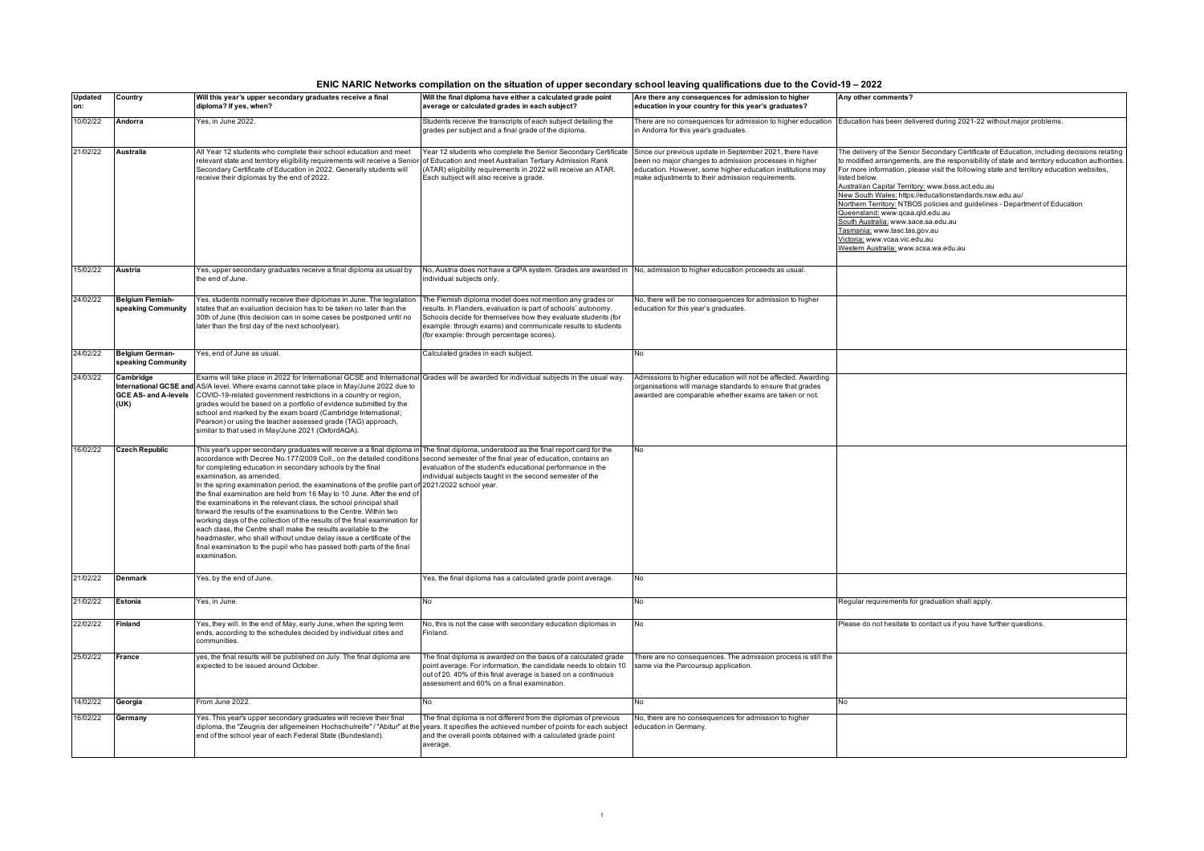| ENIC NARIC Networks compilation on the situation of upper secondary school leaving qualifications due to the Covid-19 – 2022 |  |  |
|------------------------------------------------------------------------------------------------------------------------------|--|--|
|                                                                                                                              |  |  |

| <b>Updated</b><br>on: | Country                                      | Will this year's upper secondary graduates receive a final<br>diploma? If yes, when?                                                                                                                                                                                                                                                                                                                                                                                                                                                                                                                                                                                                                                                                                                                                                                                                                                                                                                                            | Will the final diploma have either a calculated grade point<br>average or calculated grades in each subject?                                                                                                                                       | Are there any consequences for admission to higher<br>education in your country for this year's graduates?                                                                                                                           | Any other comments?                                                                                                                                                                                                                                                                                                                                                                                                                                                                                                                                                                                                                                                                           |
|-----------------------|----------------------------------------------|-----------------------------------------------------------------------------------------------------------------------------------------------------------------------------------------------------------------------------------------------------------------------------------------------------------------------------------------------------------------------------------------------------------------------------------------------------------------------------------------------------------------------------------------------------------------------------------------------------------------------------------------------------------------------------------------------------------------------------------------------------------------------------------------------------------------------------------------------------------------------------------------------------------------------------------------------------------------------------------------------------------------|----------------------------------------------------------------------------------------------------------------------------------------------------------------------------------------------------------------------------------------------------|--------------------------------------------------------------------------------------------------------------------------------------------------------------------------------------------------------------------------------------|-----------------------------------------------------------------------------------------------------------------------------------------------------------------------------------------------------------------------------------------------------------------------------------------------------------------------------------------------------------------------------------------------------------------------------------------------------------------------------------------------------------------------------------------------------------------------------------------------------------------------------------------------------------------------------------------------|
| 10/02/22              | Andorra                                      | Yes, in June 2022.                                                                                                                                                                                                                                                                                                                                                                                                                                                                                                                                                                                                                                                                                                                                                                                                                                                                                                                                                                                              | Students receive the transcripts of each subject detailing the<br>grades per subject and a final grade of the diploma.                                                                                                                             | There are no consequences for admission to higher education<br>in Andorra for this year's graduates.                                                                                                                                 | Education has been delivered during 2021-22 without major problems.                                                                                                                                                                                                                                                                                                                                                                                                                                                                                                                                                                                                                           |
| 21/02/22              | <b>Australia</b>                             | All Year 12 students who complete their school education and meet<br>relevant state and territory eligibility requirements will receive a Senior of Education and meet Australian Tertiary Admission Rank<br>Secondary Certificate of Education in 2022. Generally students will<br>receive their diplomas by the end of 2022.                                                                                                                                                                                                                                                                                                                                                                                                                                                                                                                                                                                                                                                                                  | Year 12 students who complete the Senior Secondary Certificate<br>(ATAR) eligibility requirements in 2022 will receive an ATAR.<br>Each subject will also receive a grade.                                                                         | Since our previous update in September 2021, there have<br>been no major changes to admission processes in higher<br>education. However, some higher education institutions may<br>make adjustments to their admission requirements. | The delivery of the Senior Secondary Certificate of Education, including decisions relating<br>to modified arrangements, are the responsibility of state and territory education authorities.<br>For more information, please visit the following state and territory education websites,<br>listed below.<br>Australian Capital Territory: www.bsss.act.edu.au<br>New South Wales: https://educationstandards.nsw.edu.au/<br>Northern Territory: NTBOS policies and guidelines - Department of Education<br>Queensland: www.qcaa.qld.edu.au<br>South Australia: www.sace.sa.edu.au<br>asmania: www.tasc.tas.gov.au<br>victoria: www.vcaa.vic.edu.au<br>Western Australia: www.scsa.wa.edu.au |
| 15/02/22              | <b>Austria</b>                               | Yes, upper secondary graduates receive a final diploma as usual by<br>the end of June.                                                                                                                                                                                                                                                                                                                                                                                                                                                                                                                                                                                                                                                                                                                                                                                                                                                                                                                          | No, Austria does not have a GPA system. Grades are awarded in No, admission to higher education proceeds as usual.<br>individual subjects only.                                                                                                    |                                                                                                                                                                                                                                      |                                                                                                                                                                                                                                                                                                                                                                                                                                                                                                                                                                                                                                                                                               |
| 24/02/22              | <b>Belgium Flemish-</b>                      | Yes, students normally receive their diplomas in June. The legislation                                                                                                                                                                                                                                                                                                                                                                                                                                                                                                                                                                                                                                                                                                                                                                                                                                                                                                                                          | The Flemish diploma model does not mention any grades or                                                                                                                                                                                           | No, there will be no consequences for admission to higher                                                                                                                                                                            |                                                                                                                                                                                                                                                                                                                                                                                                                                                                                                                                                                                                                                                                                               |
|                       | speaking Community                           | states that an evaluation decision has to be taken no later than the<br>30th of June (this decision can in some cases be postponed until no<br>later than the first day of the next schoolyear).                                                                                                                                                                                                                                                                                                                                                                                                                                                                                                                                                                                                                                                                                                                                                                                                                | esults. In Flanders, evaluation is part of schools' autonomy.<br>Schools decide for themselves how they evaluate students (for<br>example: through exams) and communicate results to students<br>(for example: through percentage scores).         | education for this year's graduates.                                                                                                                                                                                                 |                                                                                                                                                                                                                                                                                                                                                                                                                                                                                                                                                                                                                                                                                               |
| 24/02/22              | <b>Belgium German-</b><br>speaking Community | es, end of June as usual.                                                                                                                                                                                                                                                                                                                                                                                                                                                                                                                                                                                                                                                                                                                                                                                                                                                                                                                                                                                       | Calculated grades in each subject.                                                                                                                                                                                                                 | No                                                                                                                                                                                                                                   |                                                                                                                                                                                                                                                                                                                                                                                                                                                                                                                                                                                                                                                                                               |
| 24/03/22              | Cambridge<br>(UK)                            | Exams will take place in 2022 for International GCSE and International Grades will be awarded for individual subjects in the usual way.<br>International GCSE and AS/A level. Where exams cannot take place in May/June 2022 due to<br>GCE AS- and A-levels COVID-19-related government restrictions in a country or region,<br>grades would be based on a portfolio of evidence submitted by the<br>school and marked by the exam board (Cambridge International;<br>Pearson) or using the teacher assessed grade (TAG) approach,<br>similar to that used in May/June 2021 (OxfordAQA).                                                                                                                                                                                                                                                                                                                                                                                                                        |                                                                                                                                                                                                                                                    | Admissions to higher education will not be affected. Awarding<br>organisations will manage standards to ensure that grades<br>awarded are comparable whether exams are taken or not.                                                 |                                                                                                                                                                                                                                                                                                                                                                                                                                                                                                                                                                                                                                                                                               |
| 16/02/22              | <b>Czech Republic</b>                        | This year's upper secondary graduates will receive a a final diploma in The final diploma, understood as the final report card for the<br>accordance with Decree No.177/2009 Coll., on the detailed conditions second semester of the final year of education, contains an<br>for completing education in secondary schools by the final<br>examination, as amended.<br>In the spring examination period, the examinations of the profile part of 2021/2022 school year.<br>the final examination are held from 16 May to 10 June. After the end of<br>the examinations in the relevant class, the school principal shall<br>forward the results of the examinations to the Centre. Within two<br>working days of the collection of the results of the final examination for<br>each class, the Centre shall make the results available to the<br>headmaster, who shall without undue delay issue a certificate of the<br>final examination to the pupil who has passed both parts of the final<br>examination. | evaluation of the student's educational performance in the<br>individual subjects taught in the second semester of the                                                                                                                             | <b>No</b>                                                                                                                                                                                                                            |                                                                                                                                                                                                                                                                                                                                                                                                                                                                                                                                                                                                                                                                                               |
| 21/02/22              | <b>Denmark</b>                               | Yes, by the end of June.                                                                                                                                                                                                                                                                                                                                                                                                                                                                                                                                                                                                                                                                                                                                                                                                                                                                                                                                                                                        | es, the final diploma has a calculated grade point average.                                                                                                                                                                                        | <b>No</b>                                                                                                                                                                                                                            |                                                                                                                                                                                                                                                                                                                                                                                                                                                                                                                                                                                                                                                                                               |
| 21/02/22              | Estonia                                      | Yes, in June.                                                                                                                                                                                                                                                                                                                                                                                                                                                                                                                                                                                                                                                                                                                                                                                                                                                                                                                                                                                                   | No                                                                                                                                                                                                                                                 | No                                                                                                                                                                                                                                   | Regular requirements for graduation shall apply.                                                                                                                                                                                                                                                                                                                                                                                                                                                                                                                                                                                                                                              |
| 22/02/22              | <b>Finland</b>                               | Yes, they will. In the end of May, early June, when the spring term<br>ends, according to the schedules decided by individual cities and<br>communities.                                                                                                                                                                                                                                                                                                                                                                                                                                                                                                                                                                                                                                                                                                                                                                                                                                                        | No, this is not the case with secondary education diplomas in<br>Finland.                                                                                                                                                                          | No                                                                                                                                                                                                                                   | Please do not hesitate to contact us if you have further questions.                                                                                                                                                                                                                                                                                                                                                                                                                                                                                                                                                                                                                           |
| 25/02/22              | France                                       | yes, the final results will be published on July. The final diploma are<br>expected to be issued around October.                                                                                                                                                                                                                                                                                                                                                                                                                                                                                                                                                                                                                                                                                                                                                                                                                                                                                                | The final diploma is awarded on the basis of a calculated grade<br>point average. For information, the candidate needs to obtain 10<br>out of 20. 40% of this final average is based on a continuous<br>assessment and 60% on a final examination. | There are no consequences. The admission process is still the<br>same via the Parcoursup application.                                                                                                                                |                                                                                                                                                                                                                                                                                                                                                                                                                                                                                                                                                                                                                                                                                               |
| 14/02/22              | Georgia                                      | From June 2022.                                                                                                                                                                                                                                                                                                                                                                                                                                                                                                                                                                                                                                                                                                                                                                                                                                                                                                                                                                                                 | No                                                                                                                                                                                                                                                 | No.                                                                                                                                                                                                                                  | No.                                                                                                                                                                                                                                                                                                                                                                                                                                                                                                                                                                                                                                                                                           |
| 16/02/22              | Germany                                      | Yes. This year's upper secondary graduates will recieve their final<br>diploma, the "Zeugnis der allgemeinen Hochschulreife" / "Abitur" at the<br>end of the school year of each Federal State (Bundesland).                                                                                                                                                                                                                                                                                                                                                                                                                                                                                                                                                                                                                                                                                                                                                                                                    | The final diploma is not different from the diplomas of previous<br>years. It specifies the achieved number of points for each subject education in Germany.<br>and the overall points obtained with a calculated grade point<br>average.          | No, there are no consequences for admission to higher                                                                                                                                                                                |                                                                                                                                                                                                                                                                                                                                                                                                                                                                                                                                                                                                                                                                                               |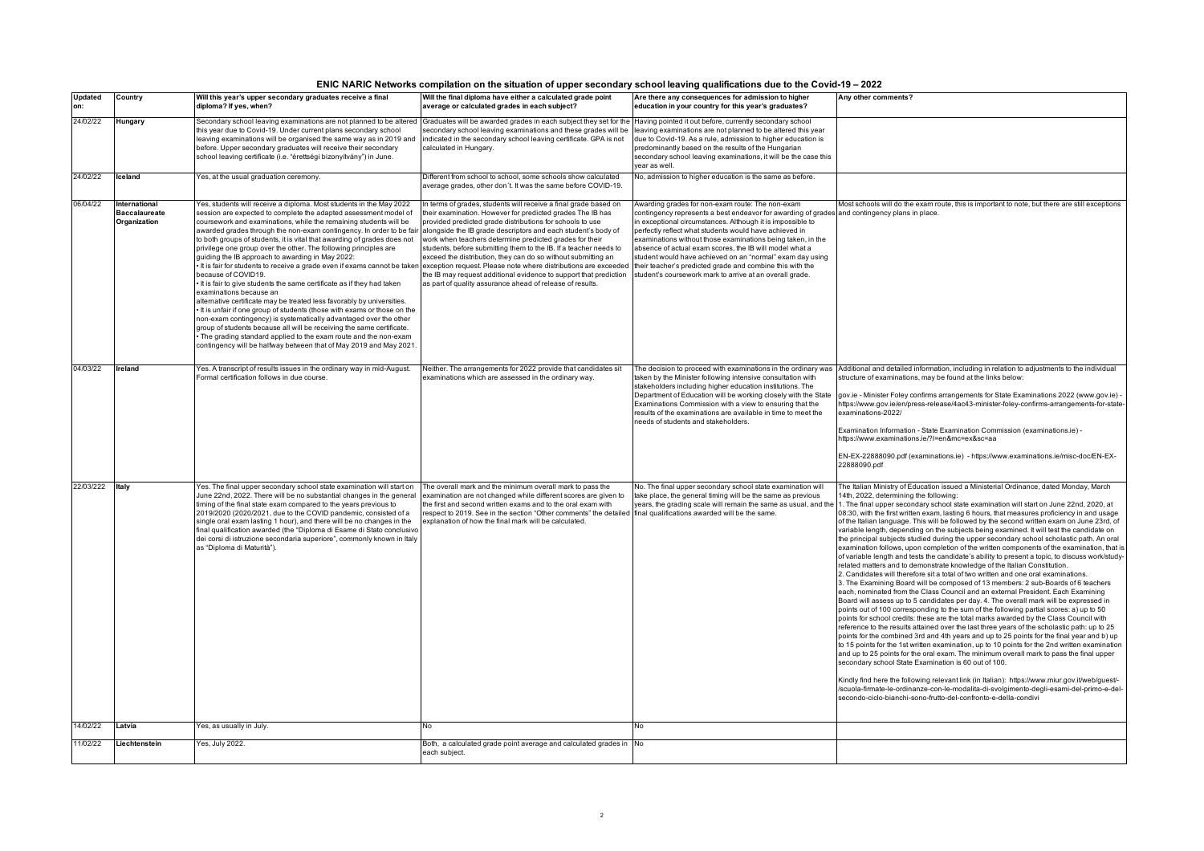| ENIC NARIC Networks compilation on the situation of upper secondary school leaving qualifications due to the Covid-19 – 2022 |  |  |  |
|------------------------------------------------------------------------------------------------------------------------------|--|--|--|
|                                                                                                                              |  |  |  |

| <b>Updated</b><br>on: | Country                                               | Will this year's upper secondary graduates receive a final<br>diploma? If yes, when?                                                                                                                                                                                                                                                                                                                                                                                                                                                                                                                                                                                                                                                                                                                                                                                                                                                                                                                                                                                                                                                        | Will the final diploma have either a calculated grade point<br>average or calculated grades in each subject?                                                                                                                                                                                                                                                                                                                                                                                                                                                                                                                                                       | Are there any consequences for admission to higher<br>education in your country for this year's graduates?                                                                                                                                                                                                                                                                                                                                                                                                                                                                                | Any other comments?                                                                                                                                                                                                                                                                                                                                                                                                                                                                                                                                                                                                                                                                                                                                                                                                                                                                                                                                                                                                                                                                                                                                                                                                                                                                                                                                                                                                                                                                                                                                                                                                                                                                                                                                                                                                                                                                                                                                                                                                                                                                                                                                             |
|-----------------------|-------------------------------------------------------|---------------------------------------------------------------------------------------------------------------------------------------------------------------------------------------------------------------------------------------------------------------------------------------------------------------------------------------------------------------------------------------------------------------------------------------------------------------------------------------------------------------------------------------------------------------------------------------------------------------------------------------------------------------------------------------------------------------------------------------------------------------------------------------------------------------------------------------------------------------------------------------------------------------------------------------------------------------------------------------------------------------------------------------------------------------------------------------------------------------------------------------------|--------------------------------------------------------------------------------------------------------------------------------------------------------------------------------------------------------------------------------------------------------------------------------------------------------------------------------------------------------------------------------------------------------------------------------------------------------------------------------------------------------------------------------------------------------------------------------------------------------------------------------------------------------------------|-------------------------------------------------------------------------------------------------------------------------------------------------------------------------------------------------------------------------------------------------------------------------------------------------------------------------------------------------------------------------------------------------------------------------------------------------------------------------------------------------------------------------------------------------------------------------------------------|-----------------------------------------------------------------------------------------------------------------------------------------------------------------------------------------------------------------------------------------------------------------------------------------------------------------------------------------------------------------------------------------------------------------------------------------------------------------------------------------------------------------------------------------------------------------------------------------------------------------------------------------------------------------------------------------------------------------------------------------------------------------------------------------------------------------------------------------------------------------------------------------------------------------------------------------------------------------------------------------------------------------------------------------------------------------------------------------------------------------------------------------------------------------------------------------------------------------------------------------------------------------------------------------------------------------------------------------------------------------------------------------------------------------------------------------------------------------------------------------------------------------------------------------------------------------------------------------------------------------------------------------------------------------------------------------------------------------------------------------------------------------------------------------------------------------------------------------------------------------------------------------------------------------------------------------------------------------------------------------------------------------------------------------------------------------------------------------------------------------------------------------------------------------|
| 24/02/22              | Hungary                                               | Secondary school leaving examinations are not planned to be altered Graduates will be awarded grades in each subject they set for the Having pointed it out before, currently secondary school<br>this year due to Covid-19. Under current plans secondary school<br>leaving examinations will be organised the same way as in 2019 and<br>before. Upper secondary graduates will receive their secondary<br>school leaving certificate (i.e. "érettségi bizonyítvány") in June.                                                                                                                                                                                                                                                                                                                                                                                                                                                                                                                                                                                                                                                            | secondary school leaving examinations and these grades will be<br>indicated in the secondary school leaving certificate. GPA is not<br>calculated in Hungary.                                                                                                                                                                                                                                                                                                                                                                                                                                                                                                      | leaving examinations are not planned to be altered this year<br>due to Covid-19. As a rule, admission to higher education is<br>predominantly based on the results of the Hungarian<br>secondary school leaving examinations, it will be the case this<br>vear as well.                                                                                                                                                                                                                                                                                                                   |                                                                                                                                                                                                                                                                                                                                                                                                                                                                                                                                                                                                                                                                                                                                                                                                                                                                                                                                                                                                                                                                                                                                                                                                                                                                                                                                                                                                                                                                                                                                                                                                                                                                                                                                                                                                                                                                                                                                                                                                                                                                                                                                                                 |
| 24/02/22              | Iceland                                               | es, at the usual graduation ceremony.                                                                                                                                                                                                                                                                                                                                                                                                                                                                                                                                                                                                                                                                                                                                                                                                                                                                                                                                                                                                                                                                                                       | Different from school to school, some schools show calculated<br>average grades, other don't. It was the same before COVID-19.                                                                                                                                                                                                                                                                                                                                                                                                                                                                                                                                     | No, admission to higher education is the same as before.                                                                                                                                                                                                                                                                                                                                                                                                                                                                                                                                  |                                                                                                                                                                                                                                                                                                                                                                                                                                                                                                                                                                                                                                                                                                                                                                                                                                                                                                                                                                                                                                                                                                                                                                                                                                                                                                                                                                                                                                                                                                                                                                                                                                                                                                                                                                                                                                                                                                                                                                                                                                                                                                                                                                 |
| 06/04/22              | International<br><b>Baccalaureate</b><br>Organization | Yes, students will receive a diploma. Most students in the May 2022<br>session are expected to complete the adapted assessment model of<br>coursework and examinations, while the remaining students will be<br>awarded grades through the non-exam contingency. In order to be fair<br>to both groups of students, it is vital that awarding of grades does not<br>privilege one group over the other. The following principles are<br>quiding the IB approach to awarding in May 2022:<br>It is fair for students to receive a grade even if exams cannot be taken<br>because of COVID19.<br>It is fair to give students the same certificate as if they had taken<br>examinations because an<br>alternative certificate may be treated less favorably by universities.<br>It is unfair if one group of students (those with exams or those on the<br>non-exam contingency) is systematically advantaged over the other<br>group of students because all will be receiving the same certificate.<br>The grading standard applied to the exam route and the non-exam<br>contingency will be halfway between that of May 2019 and May 2021. | In terms of grades, students will receive a final grade based on<br>their examination. However for predicted grades The IB has<br>provided predicted grade distributions for schools to use<br>alongside the IB grade descriptors and each student's body of<br>work when teachers determine predicted grades for their<br>students, before submitting them to the IB. If a teacher needs to<br>exceed the distribution, they can do so without submitting an<br>exception request. Please note where distributions are exceeded<br>the IB may request additional evidence to support that prediction<br>as part of quality assurance ahead of release of results. | Awarding grades for non-exam route: The non-exam<br>contingency represents a best endeavor for awarding of grades and contingency plans in place.<br>in exceptional circumstances. Although it is impossible to<br>perfectly reflect what students would have achieved in<br>examinations without those examinations being taken, in the<br>absence of actual exam scores, the IB will model what a<br>student would have achieved on an "normal" exam day using<br>their teacher's predicted grade and combine this with the<br>student's coursework mark to arrive at an overall grade. | Most schools will do the exam route, this is important to note, but there are still exceptions                                                                                                                                                                                                                                                                                                                                                                                                                                                                                                                                                                                                                                                                                                                                                                                                                                                                                                                                                                                                                                                                                                                                                                                                                                                                                                                                                                                                                                                                                                                                                                                                                                                                                                                                                                                                                                                                                                                                                                                                                                                                  |
| 04/03/22              | Ireland                                               | /es. A transcript of results issues in the ordinary way in mid-August.<br>Formal certification follows in due course                                                                                                                                                                                                                                                                                                                                                                                                                                                                                                                                                                                                                                                                                                                                                                                                                                                                                                                                                                                                                        | Neither. The arrangements for 2022 provide that candidates sit<br>examinations which are assessed in the ordinary way.                                                                                                                                                                                                                                                                                                                                                                                                                                                                                                                                             | taken by the Minister following intensive consultation with<br>stakeholders including higher education institutions. The<br>Department of Education will be working closely with the State<br>Examinations Commission with a view to ensuring that the<br>results of the examinations are available in time to meet the<br>needs of students and stakeholders.                                                                                                                                                                                                                            | The decision to proceed with examinations in the ordinary was Additional and detailed information, including in relation to adjustments to the individual<br>structure of examinations, may be found at the links below:<br>gov.ie - Minister Foley confirms arrangements for State Examinations 2022 (www.gov.ie) -<br>https://www.gov.ie/en/press-release/4ac43-minister-foley-confirms-arrangements-for-state-<br>examinations-2022/<br>Examination Information - State Examination Commission (examinations.ie) -<br>https://www.examinations.ie/?l=en&mc=ex≻=aa<br>EN-EX-22888090.pdf (examinations.ie) - https://www.examinations.ie/misc-doc/EN-EX-<br>22888090.pdf                                                                                                                                                                                                                                                                                                                                                                                                                                                                                                                                                                                                                                                                                                                                                                                                                                                                                                                                                                                                                                                                                                                                                                                                                                                                                                                                                                                                                                                                                      |
| 22/03/222             | Italy                                                 | Yes. The final upper secondary school state examination will start on<br>June 22nd, 2022. There will be no substantial changes in the general<br>timing of the final state exam compared to the years previous to<br>2019/2020 (2020/2021, due to the COVID pandemic, consisted of a<br>single oral exam lasting 1 hour), and there will be no changes in the<br>final qualification awarded (the "Diploma di Esame di Stato conclusivo<br>dei corsi di istruzione secondaria superiore", commonly known in Italy<br>as "Diploma di Maturità").                                                                                                                                                                                                                                                                                                                                                                                                                                                                                                                                                                                             | The overall mark and the minimum overall mark to pass the<br>examination are not changed while different scores are given to<br>the first and second written exams and to the oral exam with<br>respect to 2019. See in the section "Other comments" the detailed final qualifications awarded will be the same.<br>explanation of how the final mark will be calculated.                                                                                                                                                                                                                                                                                          | No. The final upper secondary school state examination will<br>take place, the general timing will be the same as previous<br>years, the grading scale will remain the same as usual, and the                                                                                                                                                                                                                                                                                                                                                                                             | The Italian Ministry of Education issued a Ministerial Ordinance, dated Monday, March<br>14th, 2022, determining the following:<br>1. The final upper secondary school state examination will start on June 22nd, 2020, at<br>08:30, with the first written exam, lasting 6 hours, that measures proficiency in and usage<br>of the Italian language. This will be followed by the second written exam on June 23rd, of<br>variable length, depending on the subjects being examined. It will test the candidate on<br>the principal subjects studied during the upper secondary school scholastic path. An oral<br>examination follows, upon completion of the written components of the examination, that is<br>of variable length and tests the candidate's ability to present a topic, to discuss work/study-<br>related matters and to demonstrate knowledge of the Italian Constitution.<br>2. Candidates will therefore sit a total of two written and one oral examinations.<br>3. The Examining Board will be composed of 13 members: 2 sub-Boards of 6 teachers<br>each, nominated from the Class Council and an external President. Each Examining<br>Board will assess up to 5 candidates per day. 4. The overall mark will be expressed in<br>points out of 100 corresponding to the sum of the following partial scores: a) up to 50<br>points for school credits: these are the total marks awarded by the Class Council with<br>reference to the results attained over the last three years of the scholastic path: up to 25<br>points for the combined 3rd and 4th years and up to 25 points for the final year and b) up<br>to 15 points for the 1st written examination, up to 10 points for the 2nd written examination<br>and up to 25 points for the oral exam. The minimum overall mark to pass the final upper<br>secondary school State Examination is 60 out of 100.<br>Kindly find here the following relevant link (in Italian): https://www.miur.gov.it/web/guest/-<br>/scuola-firmate-le-ordinanze-con-le-modalita-di-svolgimento-degli-esami-del-primo-e-del-<br>secondo-ciclo-bianchi-sono-frutto-del-confronto-e-della-condivi |
| 14/02/22              | Latvia                                                | Yes, as usually in July.                                                                                                                                                                                                                                                                                                                                                                                                                                                                                                                                                                                                                                                                                                                                                                                                                                                                                                                                                                                                                                                                                                                    |                                                                                                                                                                                                                                                                                                                                                                                                                                                                                                                                                                                                                                                                    | No                                                                                                                                                                                                                                                                                                                                                                                                                                                                                                                                                                                        |                                                                                                                                                                                                                                                                                                                                                                                                                                                                                                                                                                                                                                                                                                                                                                                                                                                                                                                                                                                                                                                                                                                                                                                                                                                                                                                                                                                                                                                                                                                                                                                                                                                                                                                                                                                                                                                                                                                                                                                                                                                                                                                                                                 |
| 11/02/22              | Liechtenstein                                         | es, July 2022.                                                                                                                                                                                                                                                                                                                                                                                                                                                                                                                                                                                                                                                                                                                                                                                                                                                                                                                                                                                                                                                                                                                              | Both, a calculated grade point average and calculated grades in No<br>each subject.                                                                                                                                                                                                                                                                                                                                                                                                                                                                                                                                                                                |                                                                                                                                                                                                                                                                                                                                                                                                                                                                                                                                                                                           |                                                                                                                                                                                                                                                                                                                                                                                                                                                                                                                                                                                                                                                                                                                                                                                                                                                                                                                                                                                                                                                                                                                                                                                                                                                                                                                                                                                                                                                                                                                                                                                                                                                                                                                                                                                                                                                                                                                                                                                                                                                                                                                                                                 |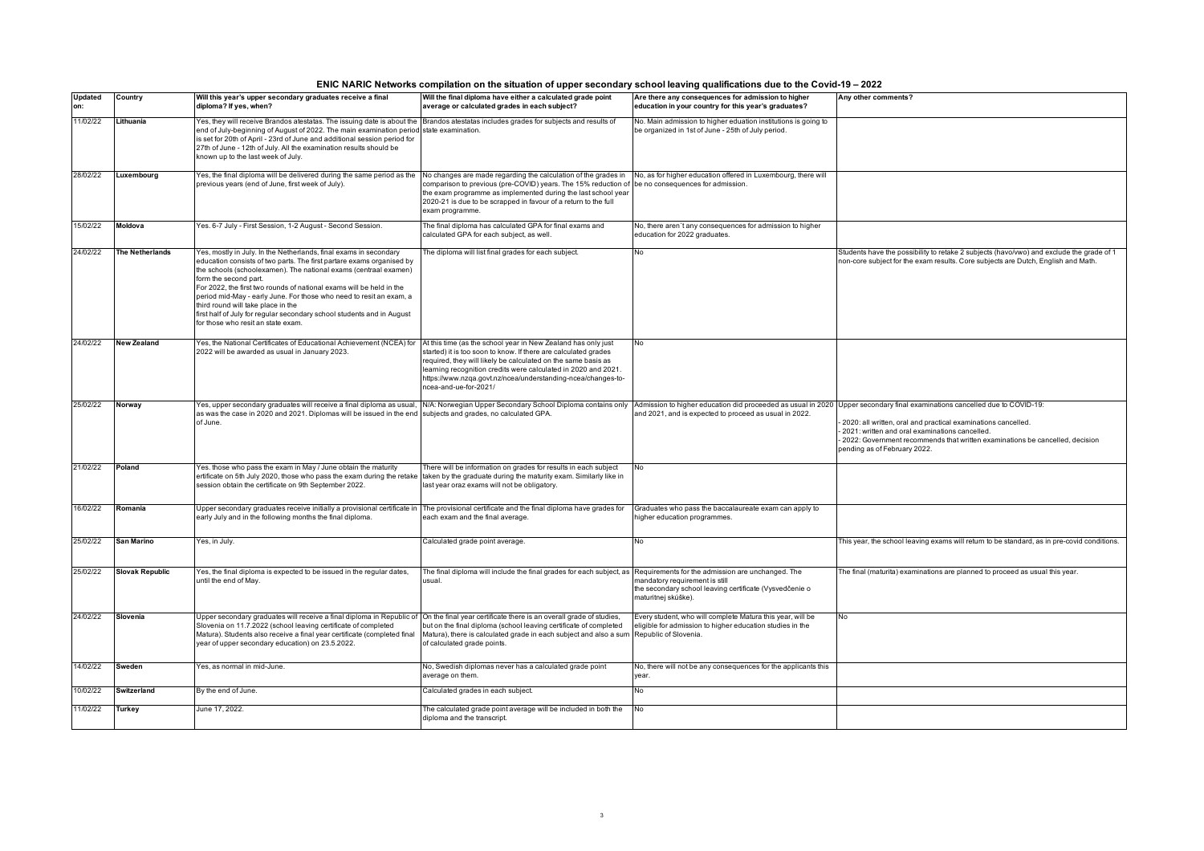| ENIC NARIC Networks compilation on the situation of upper secondary school leaving qualifications due to the Covid-19 – 2022 |  |  |  |
|------------------------------------------------------------------------------------------------------------------------------|--|--|--|
|                                                                                                                              |  |  |  |

| <b>Updated</b> | Country                | Will this year's upper secondary graduates receive a final                                                                                                                                                                                                                                                                                                                                                                                                                                                                                   | Will the final diploma have either a calculated grade point                                                                                                                                                                                                                                                               | Are there any consequences for admission to higher                                                                                               | Any other comments?                                                                                                                                                                                                               |
|----------------|------------------------|----------------------------------------------------------------------------------------------------------------------------------------------------------------------------------------------------------------------------------------------------------------------------------------------------------------------------------------------------------------------------------------------------------------------------------------------------------------------------------------------------------------------------------------------|---------------------------------------------------------------------------------------------------------------------------------------------------------------------------------------------------------------------------------------------------------------------------------------------------------------------------|--------------------------------------------------------------------------------------------------------------------------------------------------|-----------------------------------------------------------------------------------------------------------------------------------------------------------------------------------------------------------------------------------|
| on:            |                        | diploma? If yes, when?                                                                                                                                                                                                                                                                                                                                                                                                                                                                                                                       | average or calculated grades in each subject?                                                                                                                                                                                                                                                                             | education in your country for this year's graduates?                                                                                             |                                                                                                                                                                                                                                   |
| 11/02/22       | Lithuania              | Yes, they will receive Brandos atestatas. The issuing date is about the Brandos atestatas includes grades for subjects and results of<br>end of July-beginning of August of 2022. The main examination period state examination.<br>is set for 20th of April - 23rd of June and additional session period for<br>27th of June - 12th of July. All the examination results should be<br>known up to the last week of July.                                                                                                                    |                                                                                                                                                                                                                                                                                                                           | No. Main admission to higher eduation institutions is going to<br>be organized in 1st of June - 25th of July period.                             |                                                                                                                                                                                                                                   |
| 28/02/22       | Luxembourg             | Yes, the final diploma will be delivered during the same period as the<br>previous years (end of June, first week of July).                                                                                                                                                                                                                                                                                                                                                                                                                  | No changes are made regarding the calculation of the grades in<br>comparison to previous (pre-COVID) years. The 15% reduction of be no consequences for admission.<br>the exam programme as implemented during the last school year<br>2020-21 is due to be scrapped in favour of a return to the full<br>exam programme. | No, as for higher education offered in Luxembourg, there will                                                                                    |                                                                                                                                                                                                                                   |
| 15/02/22       | Moldova                | Yes. 6-7 July - First Session, 1-2 August - Second Session.                                                                                                                                                                                                                                                                                                                                                                                                                                                                                  | The final diploma has calculated GPA for final exams and<br>calculated GPA for each subject, as well.                                                                                                                                                                                                                     | No, there aren't any consequences for admission to higher<br>education for 2022 graduates.                                                       |                                                                                                                                                                                                                                   |
| 24/02/22       | <b>The Netherlands</b> | Yes, mostly in July. In the Netherlands, final exams in secondary<br>education consists of two parts. The first partare exams organised by<br>the schools (schoolexamen). The national exams (centraal examen)<br>form the second part.<br>For 2022, the first two rounds of national exams will be held in the<br>period mid-May - early June. For those who need to resit an exam, a<br>third round will take place in the<br>first half of July for regular secondary school students and in August<br>for those who resit an state exam. | The diploma will list final grades for each subject.                                                                                                                                                                                                                                                                      | No                                                                                                                                               | Students have the possibility to retake 2 subjects (havo/vwo) and exclude the grade of 1<br>non-core subject for the exam results. Core subjects are Dutch, English and Math.                                                     |
| 24/02/22       | <b>New Zealand</b>     | Yes, the National Certificates of Educational Achievement (NCEA) for At this time (as the school year in New Zealand has only just<br>2022 will be awarded as usual in January 2023.                                                                                                                                                                                                                                                                                                                                                         | started) it is too soon to know. If there are calculated grades<br>required, they will likely be calculated on the same basis as<br>learning recognition credits were calculated in 2020 and 2021.<br>https://www.nzqa.govt.nz/ncea/understanding-ncea/changes-to-<br>ncea-and-ue-for-2021/                               | No                                                                                                                                               |                                                                                                                                                                                                                                   |
| 25/02/22       | Norway                 | Yes, upper secondary graduates will receive a final diploma as usual, N/A: Norwegian Upper Secondary School Diploma contains only Admission to higher education did proceeded as usual in 2020 Upper secondary final examinati<br>as was the case in 2020 and 2021. Diplomas will be issued in the end subjects and grades, no calculated GPA.<br>of June.                                                                                                                                                                                   |                                                                                                                                                                                                                                                                                                                           | and 2021, and is expected to proceed as usual in 2022.                                                                                           | 2020; all written, oral and practical examinations cancelled.<br>2021: written and oral examinations cancelled.<br>- 2022: Government recommends that written examinations be cancelled, decision<br>pending as of February 2022. |
| 21/02/22       | Poland                 | Yes, those who pass the exam in May / June obtain the maturity<br>ertificate on 5th July 2020, those who pass the exam during the retake<br>session obtain the certificate on 9th September 2022.                                                                                                                                                                                                                                                                                                                                            | There will be information on grades for results in each subject<br>taken by the graduate during the maturity exam. Similarly like in<br>last year oraz exams will not be obligatory.                                                                                                                                      | <b>No</b>                                                                                                                                        |                                                                                                                                                                                                                                   |
| 16/02/22       | Romania                | Upper secondary graduates receive initially a provisional certificate in The provisional certificate and the final diploma have grades for<br>early July and in the following months the final diploma.                                                                                                                                                                                                                                                                                                                                      | each exam and the final average.                                                                                                                                                                                                                                                                                          | Graduates who pass the baccalaureate exam can apply to<br>higher education programmes.                                                           |                                                                                                                                                                                                                                   |
| 25/02/22       | <b>San Marino</b>      | Yes, in July.                                                                                                                                                                                                                                                                                                                                                                                                                                                                                                                                | Calculated grade point average.                                                                                                                                                                                                                                                                                           | <b>No</b>                                                                                                                                        | This year, the school leaving exams will return to be standard, as in pre-covid conditions.                                                                                                                                       |
| 25/02/22       | <b>Slovak Republic</b> | Yes, the final diploma is expected to be issued in the regular dates,<br>until the end of May.                                                                                                                                                                                                                                                                                                                                                                                                                                               | The final diploma will include the final grades for each subject, as Requirements for the admission are unchanged. The<br>usual.                                                                                                                                                                                          | mandatory requirement is still<br>the secondary school leaving certificate (Vysvedčenie o<br>maturitnej skúške).                                 | The final (maturita) examinations are planned to proceed as usual this year.                                                                                                                                                      |
| 24/02/22       | Slovenia               | Upper secondary graduates will receive a final diploma in Republic of On the final year certificate there is an overall grade of studies,<br>Slovenia on 11.7.2022 (school leaving certificate of completed<br>Matura). Students also receive a final vear certificate (completed final<br>year of upper secondary education) on 23.5.2022.                                                                                                                                                                                                  | but on the final diploma (school leaving certificate of completed<br>Matura), there is calculated grade in each subject and also a sum<br>of calculated grade points.                                                                                                                                                     | Every student, who will complete Matura this year, will be<br>eligible for admission to higher education studies in the<br>Republic of Slovenia. | No                                                                                                                                                                                                                                |
| 14/02/22       | Sweden                 | Yes, as normal in mid-June.                                                                                                                                                                                                                                                                                                                                                                                                                                                                                                                  | No, Swedish diplomas never has a calculated grade point<br>average on them.                                                                                                                                                                                                                                               | No, there will not be any consequences for the applicants this<br>year.                                                                          |                                                                                                                                                                                                                                   |
| 10/02/22       | Switzerland            | By the end of June.                                                                                                                                                                                                                                                                                                                                                                                                                                                                                                                          | Calculated grades in each subject.                                                                                                                                                                                                                                                                                        | No                                                                                                                                               |                                                                                                                                                                                                                                   |
| 11/02/22       | Turkey                 | June 17, 2022.                                                                                                                                                                                                                                                                                                                                                                                                                                                                                                                               | The calculated grade point average will be included in both the<br>diploma and the transcript.                                                                                                                                                                                                                            | No.                                                                                                                                              |                                                                                                                                                                                                                                   |